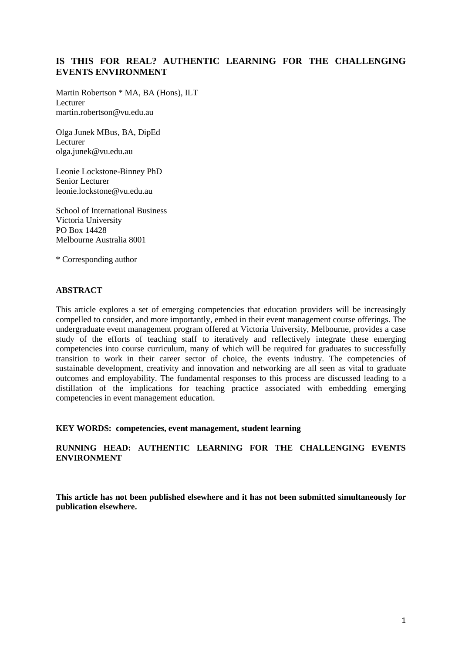# **IS THIS FOR REAL? AUTHENTIC LEARNING FOR THE CHALLENGING EVENTS ENVIRONMENT**

Martin Robertson \* MA, BA (Hons), ILT Lecturer martin.robertson@vu.edu.au

Olga Junek MBus, BA, DipEd Lecturer olga.junek@vu.edu.au

Leonie Lockstone-Binney PhD Senior Lecturer leonie.lockstone@vu.edu.au

School of International Business Victoria University PO Box 14428 Melbourne Australia 8001

\* Corresponding author

# **ABSTRACT**

This article explores a set of emerging competencies that education providers will be increasingly compelled to consider, and more importantly, embed in their event management course offerings. The undergraduate event management program offered at Victoria University, Melbourne, provides a case study of the efforts of teaching staff to iteratively and reflectively integrate these emerging competencies into course curriculum, many of which will be required for graduates to successfully transition to work in their career sector of choice, the events industry. The competencies of sustainable development, creativity and innovation and networking are all seen as vital to graduate outcomes and employability. The fundamental responses to this process are discussed leading to a distillation of the implications for teaching practice associated with embedding emerging competencies in event management education.

#### **KEY WORDS: competencies, event management, student learning**

# **RUNNING HEAD: AUTHENTIC LEARNING FOR THE CHALLENGING EVENTS ENVIRONMENT**

**This article has not been published elsewhere and it has not been submitted simultaneously for publication elsewhere.**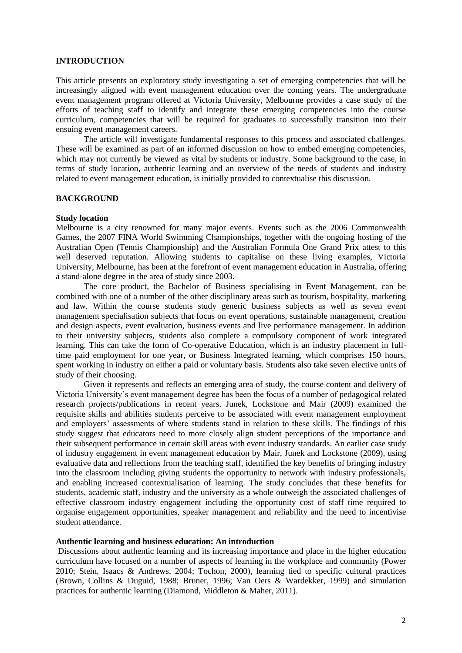#### **INTRODUCTION**

This article presents an exploratory study investigating a set of emerging competencies that will be increasingly aligned with event management education over the coming years. The undergraduate event management program offered at Victoria University, Melbourne provides a case study of the efforts of teaching staff to identify and integrate these emerging competencies into the course curriculum, competencies that will be required for graduates to successfully transition into their ensuing event management careers.

The article will investigate fundamental responses to this process and associated challenges. These will be examined as part of an informed discussion on how to embed emerging competencies, which may not currently be viewed as vital by students or industry. Some background to the case, in terms of study location, authentic learning and an overview of the needs of students and industry related to event management education, is initially provided to contextualise this discussion.

#### **BACKGROUND**

#### **Study location**

Melbourne is a city renowned for many major events. Events such as the 2006 Commonwealth Games, the 2007 FINA World Swimming Championships, together with the ongoing hosting of the Australian Open (Tennis Championship) and the Australian Formula One Grand Prix attest to this well deserved reputation. Allowing students to capitalise on these living examples, Victoria University, Melbourne, has been at the forefront of event management education in Australia, offering a stand-alone degree in the area of study since 2003.

The core product, the Bachelor of Business specialising in Event Management, can be combined with one of a number of the other disciplinary areas such as tourism, hospitality, marketing and law. Within the course students study generic business subjects as well as seven event management specialisation subjects that focus on event operations, sustainable management, creation and design aspects, event evaluation, business events and live performance management. In addition to their university subjects, students also complete a compulsory component of work integrated learning. This can take the form of Co-operative Education, which is an industry placement in fulltime paid employment for one year, or Business Integrated learning, which comprises 150 hours, spent working in industry on either a paid or voluntary basis. Students also take seven elective units of study of their choosing.

Given it represents and reflects an emerging area of study, the course content and delivery of Victoria University's event management degree has been the focus of a number of pedagogical related research projects/publications in recent years. Junek, Lockstone and Mair (2009) examined the requisite skills and abilities students perceive to be associated with event management employment and employers' assessments of where students stand in relation to these skills. The findings of this study suggest that educators need to more closely align student perceptions of the importance and their subsequent performance in certain skill areas with event industry standards. An earlier case study of industry engagement in event management education by Mair, Junek and Lockstone (2009), using evaluative data and reflections from the teaching staff, identified the key benefits of bringing industry into the classroom including giving students the opportunity to network with industry professionals, and enabling increased contextualisation of learning. The study concludes that these benefits for students, academic staff, industry and the university as a whole outweigh the associated challenges of effective classroom industry engagement including the opportunity cost of staff time required to organise engagement opportunities, speaker management and reliability and the need to incentivise student attendance.

#### **Authentic learning and business education: An introduction**

Discussions about authentic learning and its increasing importance and place in the higher education curriculum have focused on a number of aspects of learning in the workplace and community (Power 2010; Stein, Isaacs & Andrews, 2004; Tochon, 2000), learning tied to specific cultural practices (Brown, Collins & Duguid, 1988; Bruner, 1996; Van Oers & Wardekker, 1999) and simulation practices for authentic learning (Diamond, Middleton & Maher, 2011).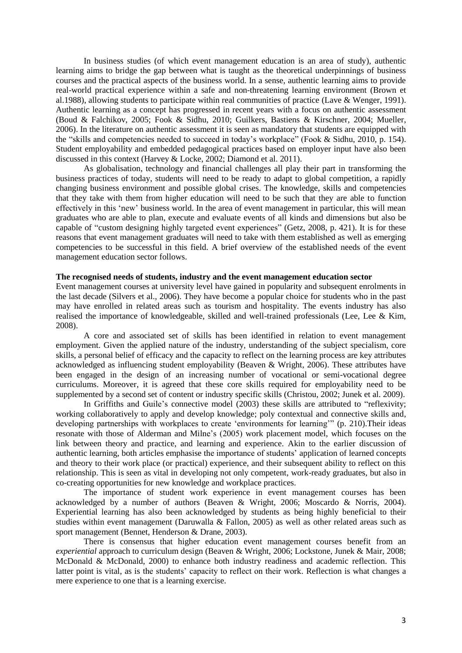In business studies (of which event management education is an area of study), authentic learning aims to bridge the gap between what is taught as the theoretical underpinnings of business courses and the practical aspects of the business world. In a sense, authentic learning aims to provide real-world practical experience within a safe and non-threatening learning environment (Brown et al.1988), allowing students to participate within real communities of practice (Lave & Wenger, 1991). Authentic learning as a concept has progressed in recent years with a focus on authentic assessment (Boud & Falchikov, 2005; Fook & Sidhu, 2010; Guilkers, Bastiens & Kirschner, 2004; Mueller, 2006). In the literature on authentic assessment it is seen as mandatory that students are equipped with the "skills and competencies needed to succeed in today's workplace" (Fook & Sidhu, 2010, p. 154). Student employability and embedded pedagogical practices based on employer input have also been discussed in this context (Harvey & Locke, 2002; Diamond et al. 2011).

As globalisation, technology and financial challenges all play their part in transforming the business practices of today, students will need to be ready to adapt to global competition, a rapidly changing business environment and possible global crises. The knowledge, skills and competencies that they take with them from higher education will need to be such that they are able to function effectively in this 'new' business world. In the area of event management in particular, this will mean graduates who are able to plan, execute and evaluate events of all kinds and dimensions but also be capable of "custom designing highly targeted event experiences" (Getz, 2008, p. 421). It is for these reasons that event management graduates will need to take with them established as well as emerging competencies to be successful in this field. A brief overview of the established needs of the event management education sector follows.

#### **The recognised needs of students, industry and the event management education sector**

Event management courses at university level have gained in popularity and subsequent enrolments in the last decade (Silvers et al., 2006). They have become a popular choice for students who in the past may have enrolled in related areas such as tourism and hospitality. The events industry has also realised the importance of knowledgeable, skilled and well-trained professionals (Lee, Lee & Kim, 2008).

A core and associated set of skills has been identified in relation to event management employment. Given the applied nature of the industry, understanding of the subject specialism, core skills, a personal belief of efficacy and the capacity to reflect on the learning process are key attributes acknowledged as influencing student employability (Beaven & Wright, 2006). These attributes have been engaged in the design of an increasing number of vocational or semi-vocational degree curriculums. Moreover, it is agreed that these core skills required for employability need to be supplemented by a second set of content or industry specific skills (Christou, 2002; Junek et al. 2009).

In Griffiths and Guile's connective model (2003) these skills are attributed to "reflexivity; working collaboratively to apply and develop knowledge; poly contextual and connective skills and, developing partnerships with workplaces to create 'environments for learning'" (p. 210).Their ideas resonate with those of Alderman and Milne's (2005) work placement model, which focuses on the link between theory and practice, and learning and experience. Akin to the earlier discussion of authentic learning, both articles emphasise the importance of students' application of learned concepts and theory to their work place (or practical) experience, and their subsequent ability to reflect on this relationship. This is seen as vital in developing not only competent, work-ready graduates, but also in co-creating opportunities for new knowledge and workplace practices.

The importance of student work experience in event management courses has been acknowledged by a number of authors (Beaven & Wright, 2006; Moscardo & Norris, 2004). Experiential learning has also been acknowledged by students as being highly beneficial to their studies within event management (Daruwalla & Fallon, 2005) as well as other related areas such as sport management (Bennet, Henderson & Drane, 2003).

There is consensus that higher education event management courses benefit from an *experiential* approach to curriculum design (Beaven & Wright, 2006; Lockstone, Junek & Mair, 2008; McDonald & McDonald, 2000) to enhance both industry readiness and academic reflection. This latter point is vital, as is the students' capacity to reflect on their work. Reflection is what changes a mere experience to one that is a learning exercise.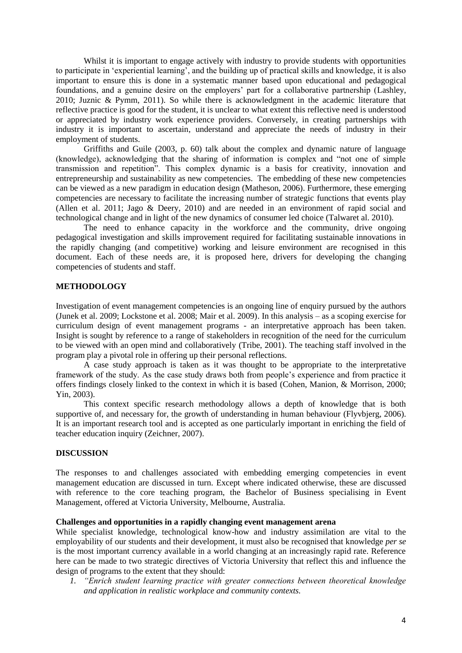Whilst it is important to engage actively with industry to provide students with opportunities to participate in 'experiential learning', and the building up of practical skills and knowledge, it is also important to ensure this is done in a systematic manner based upon educational and pedagogical foundations, and a genuine desire on the employers' part for a collaborative partnership (Lashley, 2010; Juznic & Pymm, 2011). So while there is acknowledgment in the academic literature that reflective practice is good for the student, it is unclear to what extent this reflective need is understood or appreciated by industry work experience providers. Conversely, in creating partnerships with industry it is important to ascertain, understand and appreciate the needs of industry in their employment of students.

Griffiths and Guile (2003, p. 60) talk about the complex and dynamic nature of language (knowledge), acknowledging that the sharing of information is complex and "not one of simple transmission and repetition". This complex dynamic is a basis for creativity, innovation and entrepreneurship and sustainability as new competencies. The embedding of these new competencies can be viewed as a new paradigm in education design (Matheson, 2006). Furthermore, these emerging competencies are necessary to facilitate the increasing number of strategic functions that events play (Allen et al. 2011; Jago & Deery, 2010) and are needed in an environment of rapid social and technological change and in light of the new dynamics of consumer led choice (Talwaret al. 2010).

The need to enhance capacity in the workforce and the community, drive ongoing pedagogical investigation and skills improvement required for facilitating sustainable innovations in the rapidly changing (and competitive) working and leisure environment are recognised in this document. Each of these needs are, it is proposed here, drivers for developing the changing competencies of students and staff.

## **METHODOLOGY**

Investigation of event management competencies is an ongoing line of enquiry pursued by the authors (Junek et al. 2009; Lockstone et al. 2008; Mair et al. 2009). In this analysis – as a scoping exercise for curriculum design of event management programs - an interpretative approach has been taken. Insight is sought by reference to a range of stakeholders in recognition of the need for the curriculum to be viewed with an open mind and collaboratively (Tribe, 2001). The teaching staff involved in the program play a pivotal role in offering up their personal reflections.

A case study approach is taken as it was thought to be appropriate to the interpretative framework of the study. As the case study draws both from people's experience and from practice it offers findings closely linked to the context in which it is based (Cohen, Manion, & Morrison, 2000; Yin, 2003).

This context specific research methodology allows a depth of knowledge that is both supportive of, and necessary for, the growth of understanding in human behaviour (Flyvbjerg, 2006). It is an important research tool and is accepted as one particularly important in enriching the field of teacher education inquiry (Zeichner, 2007).

#### **DISCUSSION**

The responses to and challenges associated with embedding emerging competencies in event management education are discussed in turn. Except where indicated otherwise, these are discussed with reference to the core teaching program, the Bachelor of Business specialising in Event Management, offered at Victoria University, Melbourne, Australia.

#### **Challenges and opportunities in a rapidly changing event management arena**

While specialist knowledge, technological know-how and industry assimilation are vital to the employability of our students and their development, it must also be recognised that knowledge *per se*  is the most important currency available in a world changing at an increasingly rapid rate. Reference here can be made to two strategic directives of Victoria University that reflect this and influence the design of programs to the extent that they should:

*1. "Enrich student learning practice with greater connections between theoretical knowledge and application in realistic workplace and community contexts.*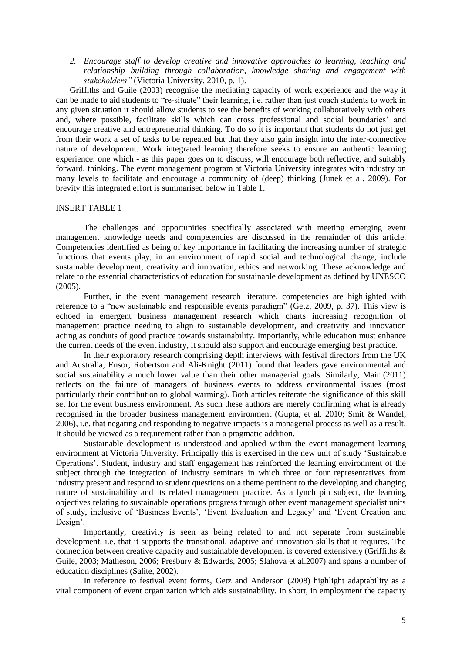*2. Encourage staff to develop creative and innovative approaches to learning, teaching and relationship building through collaboration, knowledge sharing and engagement with stakeholders"* (Victoria University, 2010, p. 1).

Griffiths and Guile (2003) recognise the mediating capacity of work experience and the way it can be made to aid students to "re-situate" their learning, i.e. rather than just coach students to work in any given situation it should allow students to see the benefits of working collaboratively with others and, where possible, facilitate skills which can cross professional and social boundaries' and encourage creative and entrepreneurial thinking. To do so it is important that students do not just get from their work a set of tasks to be repeated but that they also gain insight into the inter-connective nature of development. Work integrated learning therefore seeks to ensure an authentic learning experience: one which - as this paper goes on to discuss, will encourage both reflective, and suitably forward, thinking. The event management program at Victoria University integrates with industry on many levels to facilitate and encourage a community of (deep) thinking (Junek et al. 2009). For brevity this integrated effort is summarised below in Table 1.

### INSERT TABLE 1

The challenges and opportunities specifically associated with meeting emerging event management knowledge needs and competencies are discussed in the remainder of this article. Competencies identified as being of key importance in facilitating the increasing number of strategic functions that events play, in an environment of rapid social and technological change, include sustainable development, creativity and innovation, ethics and networking. These acknowledge and relate to the essential characteristics of education for sustainable development as defined by UNESCO  $(2005)$ .

Further, in the event management research literature, competencies are highlighted with reference to a "new sustainable and responsible events paradigm" (Getz, 2009, p. 37). This view is echoed in emergent business management research which charts increasing recognition of management practice needing to align to sustainable development, and creativity and innovation acting as conduits of good practice towards sustainability. Importantly, while education must enhance the current needs of the event industry, it should also support and encourage emerging best practice.

In their exploratory research comprising depth interviews with festival directors from the UK and Australia, Ensor, Robertson and Ali-Knight (2011) found that leaders gave environmental and social sustainability a much lower value than their other managerial goals. Similarly, Mair (2011) reflects on the failure of managers of business events to address environmental issues (most particularly their contribution to global warming). Both articles reiterate the significance of this skill set for the event business environment. As such these authors are merely confirming what is already recognised in the broader business management environment (Gupta, et al. 2010; Smit & Wandel, 2006), i.e. that negating and responding to negative impacts is a managerial process as well as a result. It should be viewed as a requirement rather than a pragmatic addition.

Sustainable development is understood and applied within the event management learning environment at Victoria University. Principally this is exercised in the new unit of study 'Sustainable Operations'. Student, industry and staff engagement has reinforced the learning environment of the subject through the integration of industry seminars in which three or four representatives from industry present and respond to student questions on a theme pertinent to the developing and changing nature of sustainability and its related management practice. As a lynch pin subject, the learning objectives relating to sustainable operations progress through other event management specialist units of study, inclusive of 'Business Events', 'Event Evaluation and Legacy' and 'Event Creation and Design'.

Importantly, creativity is seen as being related to and not separate from sustainable development, i.e. that it supports the transitional, adaptive and innovation skills that it requires. The connection between creative capacity and sustainable development is covered extensively (Griffiths & Guile, 2003; Matheson, 2006; Presbury & Edwards, 2005; Slahova et al.2007) and spans a number of education disciplines (Salite, 2002).

In reference to festival event forms, Getz and Anderson (2008) highlight adaptability as a vital component of event organization which aids sustainability. In short, in employment the capacity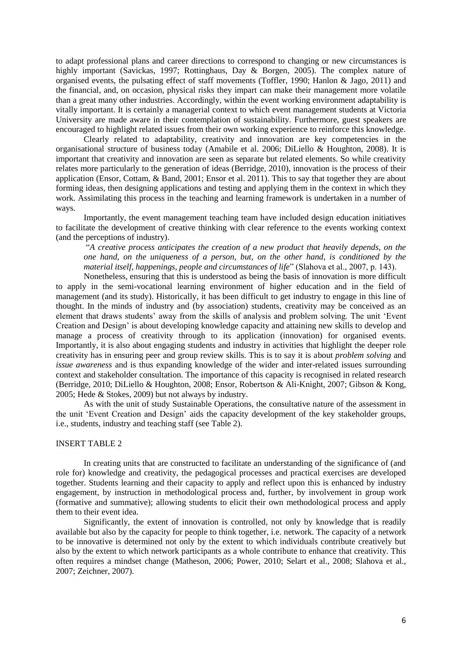to adapt professional plans and career directions to correspond to changing or new circumstances is highly important (Savickas, 1997; Rottinghaus, Day & Borgen, 2005). The complex nature of organised events, the pulsating effect of staff movements (Toffler, 1990; Hanlon & Jago, 2011) and the financial, and, on occasion, physical risks they impart can make their management more volatile than a great many other industries. Accordingly, within the event working environment adaptability is vitally important. It is certainly a managerial context to which event management students at Victoria University are made aware in their contemplation of sustainability. Furthermore, guest speakers are encouraged to highlight related issues from their own working experience to reinforce this knowledge.

Clearly related to adaptability, creativity and innovation are key competencies in the organisational structure of business today (Amabile et al. 2006; DiLiello & Houghton, 2008). It is important that creativity and innovation are seen as separate but related elements. So while creativity relates more particularly to the generation of ideas (Berridge, 2010), innovation is the process of their application (Ensor, Cottam, & Band, 2001; Ensor et al. 2011). This to say that together they are about forming ideas, then designing applications and testing and applying them in the context in which they work. Assimilating this process in the teaching and learning framework is undertaken in a number of ways.

Importantly, the event management teaching team have included design education initiatives to facilitate the development of creative thinking with clear reference to the events working context (and the perceptions of industry).

"*A creative process anticipates the creation of a new product that heavily depends, on the one hand, on the uniqueness of a person, but, on the other hand, is conditioned by the material itself, happenings, people and circumstances of life*" (Slahova et al., 2007, p. 143).

Nonetheless, ensuring that this is understood as being the basis of innovation is more difficult to apply in the semi-vocational learning environment of higher education and in the field of management (and its study). Historically, it has been difficult to get industry to engage in this line of thought. In the minds of industry and (by association) students, creativity may be conceived as an element that draws students' away from the skills of analysis and problem solving. The unit 'Event Creation and Design' is about developing knowledge capacity and attaining new skills to develop and manage a process of creativity through to its application (innovation) for organised events. Importantly, it is also about engaging students and industry in activities that highlight the deeper role creativity has in ensuring peer and group review skills. This is to say it is about *problem solving* and *issue awareness* and is thus expanding knowledge of the wider and inter-related issues surrounding context and stakeholder consultation. The importance of this capacity is recognised in related research (Berridge, 2010; DiLiello & Houghton, 2008; Ensor, Robertson & Ali-Knight, 2007; Gibson & Kong, 2005; Hede & Stokes, 2009) but not always by industry.

As with the unit of study Sustainable Operations, the consultative nature of the assessment in the unit 'Event Creation and Design' aids the capacity development of the key stakeholder groups, i.e., students, industry and teaching staff (see Table 2).

## INSERT TABLE 2

In creating units that are constructed to facilitate an understanding of the significance of (and role for) knowledge and creativity, the pedagogical processes and practical exercises are developed together. Students learning and their capacity to apply and reflect upon this is enhanced by industry engagement, by instruction in methodological process and, further, by involvement in group work (formative and summative); allowing students to elicit their own methodological process and apply them to their event idea.

Significantly, the extent of innovation is controlled, not only by knowledge that is readily available but also by the capacity for people to think together, i.e. network. The capacity of a network to be innovative is determined not only by the extent to which individuals contribute creatively but also by the extent to which network participants as a whole contribute to enhance that creativity. This often requires a mindset change (Matheson, 2006; Power, 2010; Selart et al., 2008; Slahova et al., 2007; Zeichner, 2007).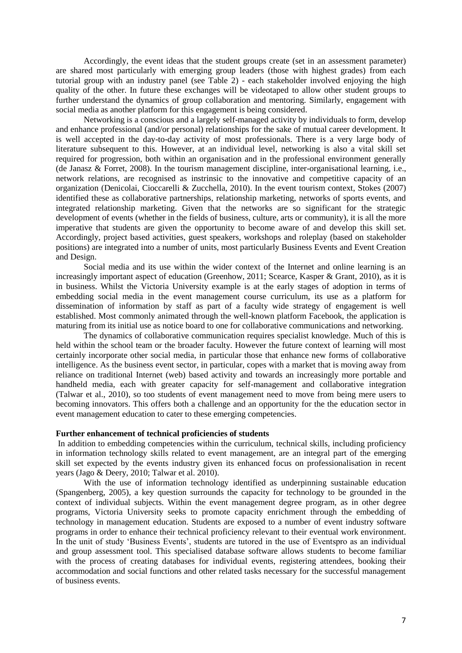Accordingly, the event ideas that the student groups create (set in an assessment parameter) are shared most particularly with emerging group leaders (those with highest grades) from each tutorial group with an industry panel (see Table 2) - each stakeholder involved enjoying the high quality of the other. In future these exchanges will be videotaped to allow other student groups to further understand the dynamics of group collaboration and mentoring. Similarly, engagement with social media as another platform for this engagement is being considered.

Networking is a conscious and a largely self-managed activity by individuals to form, develop and enhance professional (and/or personal) relationships for the sake of mutual career development. It is well accepted in the day-to-day activity of most professionals. There is a very large body of literature subsequent to this. However, at an individual level, networking is also a vital skill set required for progression, both within an organisation and in the professional environment generally (de Janasz & Forret, 2008). In the tourism management discipline, inter-organisational learning, i.e., network relations, are recognised as instrinsic to the innovative and competitive capacity of an organization (Denicolai, Cioccarelli & Zucchella, 2010). In the event tourism context, Stokes (2007) identified these as collaborative partnerships, relationship marketing, networks of sports events, and integrated relationship marketing. Given that the networks are so significant for the strategic development of events (whether in the fields of business, culture, arts or community), it is all the more imperative that students are given the opportunity to become aware of and develop this skill set. Accordingly, project based activities, guest speakers, workshops and roleplay (based on stakeholder positions) are integrated into a number of units, most particularly Business Events and Event Creation and Design.

Social media and its use within the wider context of the Internet and online learning is an increasingly important aspect of education (Greenhow, 2011; Scearce, Kasper & Grant, 2010), as it is in business. Whilst the Victoria University example is at the early stages of adoption in terms of embedding social media in the event management course curriculum, its use as a platform for dissemination of information by staff as part of a faculty wide strategy of engagement is well established. Most commonly animated through the well-known platform Facebook, the application is maturing from its initial use as notice board to one for collaborative communications and networking.

The dynamics of collaborative communication requires specialist knowledge. Much of this is held within the school team or the broader faculty. However the future context of learning will most certainly incorporate other social media, in particular those that enhance new forms of collaborative intelligence. As the business event sector, in particular, copes with a market that is moving away from reliance on traditional Internet (web) based activity and towards an increasingly more portable and handheld media, each with greater capacity for self-management and collaborative integration (Talwar et al., 2010), so too students of event management need to move from being mere users to becoming innovators. This offers both a challenge and an opportunity for the the education sector in event management education to cater to these emerging competencies.

#### **Further enhancement of technical proficiencies of students**

In addition to embedding competencies within the curriculum, technical skills, including proficiency in information technology skills related to event management, are an integral part of the emerging skill set expected by the events industry given its enhanced focus on professionalisation in recent years (Jago & Deery, 2010; Talwar et al. 2010).

With the use of information technology identified as underpinning sustainable education (Spangenberg, 2005), a key question surrounds the capacity for technology to be grounded in the context of individual subjects. Within the event management degree program, as in other degree programs, Victoria University seeks to promote capacity enrichment through the embedding of technology in management education. Students are exposed to a number of event industry software programs in order to enhance their technical proficiency relevant to their eventual work environment. In the unit of study 'Business Events', students are tutored in the use of Eventspro as an individual and group assessment tool. This specialised database software allows students to become familiar with the process of creating databases for individual events, registering attendees, booking their accommodation and social functions and other related tasks necessary for the successful management of business events.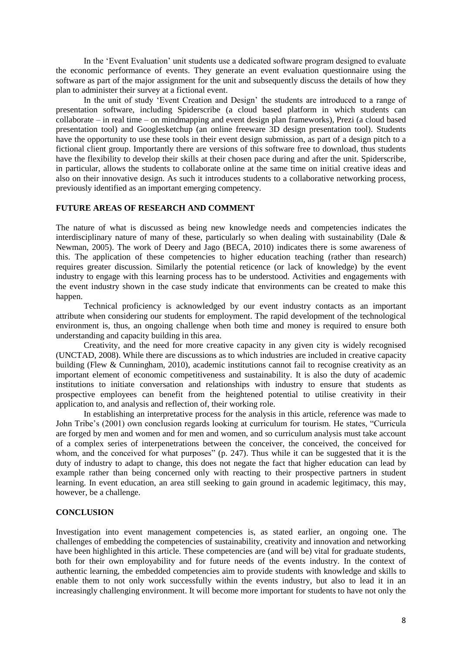In the 'Event Evaluation' unit students use a dedicated software program designed to evaluate the economic performance of events. They generate an event evaluation questionnaire using the software as part of the major assignment for the unit and subsequently discuss the details of how they plan to administer their survey at a fictional event.

In the unit of study 'Event Creation and Design' the students are introduced to a range of presentation software, including Spiderscribe (a cloud based platform in which students can collaborate – in real time – on mindmapping and event design plan frameworks), Prezi (a cloud based presentation tool) and Googlesketchup (an online freeware 3D design presentation tool). Students have the opportunity to use these tools in their event design submission, as part of a design pitch to a fictional client group. Importantly there are versions of this software free to download, thus students have the flexibility to develop their skills at their chosen pace during and after the unit. Spiderscribe, in particular, allows the students to collaborate online at the same time on initial creative ideas and also on their innovative design. As such it introduces students to a collaborative networking process, previously identified as an important emerging competency.

# **FUTURE AREAS OF RESEARCH AND COMMENT**

The nature of what is discussed as being new knowledge needs and competencies indicates the interdisciplinary nature of many of these, particularly so when dealing with sustainability (Dale & Newman, 2005). The work of Deery and Jago (BECA, 2010) indicates there is some awareness of this. The application of these competencies to higher education teaching (rather than research) requires greater discussion. Similarly the potential reticence (or lack of knowledge) by the event industry to engage with this learning process has to be understood. Activities and engagements with the event industry shown in the case study indicate that environments can be created to make this happen.

Technical proficiency is acknowledged by our event industry contacts as an important attribute when considering our students for employment. The rapid development of the technological environment is, thus, an ongoing challenge when both time and money is required to ensure both understanding and capacity building in this area.

Creativity, and the need for more creative capacity in any given city is widely recognised (UNCTAD, 2008). While there are discussions as to which industries are included in creative capacity building (Flew & Cunningham, 2010), academic institutions cannot fail to recognise creativity as an important element of economic competitiveness and sustainability. It is also the duty of academic institutions to initiate conversation and relationships with industry to ensure that students as prospective employees can benefit from the heightened potential to utilise creativity in their application to, and analysis and reflection of, their working role.

In establishing an interpretative process for the analysis in this article, reference was made to John Tribe's (2001) own conclusion regards looking at curriculum for tourism. He states, "Curricula are forged by men and women and for men and women, and so curriculum analysis must take account of a complex series of interpenetrations between the conceiver, the conceived, the conceived for whom, and the conceived for what purposes" (p. 247). Thus while it can be suggested that it is the duty of industry to adapt to change, this does not negate the fact that higher education can lead by example rather than being concerned only with reacting to their prospective partners in student learning. In event education, an area still seeking to gain ground in academic legitimacy, this may, however, be a challenge.

## **CONCLUSION**

Investigation into event management competencies is, as stated earlier, an ongoing one. The challenges of embedding the competencies of sustainability, creativity and innovation and networking have been highlighted in this article. These competencies are (and will be) vital for graduate students, both for their own employability and for future needs of the events industry. In the context of authentic learning, the embedded competencies aim to provide students with knowledge and skills to enable them to not only work successfully within the events industry, but also to lead it in an increasingly challenging environment. It will become more important for students to have not only the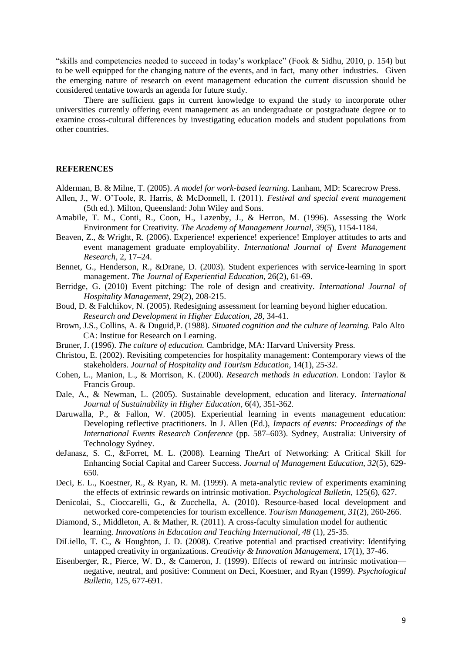"skills and competencies needed to succeed in today's workplace" (Fook & Sidhu, 2010, p. 154) but to be well equipped for the changing nature of the events, and in fact, many other industries. Given the emerging nature of research on event management education the current discussion should be considered tentative towards an agenda for future study.

There are sufficient gaps in current knowledge to expand the study to incorporate other universities currently offering event management as an undergraduate or postgraduate degree or to examine cross-cultural differences by investigating education models and student populations from other countries.

# **REFERENCES**

Alderman, B. & Milne, T. (2005). *A model for work-based learning*. Lanham, MD: Scarecrow Press.

- Allen, J., W. O'Toole, R. Harris, & McDonnell, I. (2011). *Festival and special event management* (5th ed.). Milton, Queensland: John Wiley and Sons.
- Amabile, T. M., Conti, R., Coon, H., Lazenby, J., & Herron, M. (1996). Assessing the Work Environment for Creativity. *The Academy of Management Journal, 39*(5), 1154-1184.
- Beaven, Z., & Wright, R. (2006). Experience! experience! experience! Employer attitudes to arts and event management graduate employability. *International Journal of Event Management Research*, 2, 17–24.
- Bennet, G., Henderson, R., &Drane, D. (2003). Student experiences with service-learning in sport management. *The Journal of Experiential Education*, 26(2), 61-69.
- Berridge, G. (2010) Event pitching: The role of design and creativity. *International Journal of Hospitality Management*, 29(2), 208-215.
- Boud, D. & Falchikov, N. (2005). Redesigning assessment for learning beyond higher education. *Research and Development in Higher Education, 28*, 34-41.
- Brown, J.S., Collins, A. & Duguid,P. (1988). *Situated cognition and the culture of learning.* Palo Alto CA: Institue for Research on Learning.
- Bruner, J. (1996). *The culture of education.* Cambridge, MA: Harvard University Press.
- Christou, E. (2002). Revisiting competencies for hospitality management: Contemporary views of the stakeholders. *Journal of Hospitality and Tourism Education*, 14(1), 25-32.
- Cohen, L., Manion, L., & Morrison, K. (2000). *Research methods in education*. London: Taylor & Francis Group.
- Dale, A., & Newman, L. (2005). Sustainable development, education and literacy. *International Journal of Sustainability in Higher Education*, 6(4), 351-362.
- Daruwalla, P., & Fallon, W. (2005). Experiential learning in events management education: Developing reflective practitioners. In J. Allen (Ed.), *Impacts of events: Proceedings of the International Events Research Conference* (pp. 587–603). Sydney, Australia: University of Technology Sydney.
- deJanasz, S. C., &Forret, M. L. (2008). Learning TheArt of Networking: A Critical Skill for Enhancing Social Capital and Career Success. *Journal of Management Education, 32*(5), 629- 650.
- Deci, E. L., Koestner, R., & Ryan, R. M. (1999). A meta-analytic review of experiments examining the effects of extrinsic rewards on intrinsic motivation. *Psychological Bulletin*, 125(6), 627.
- Denicolai, S., Cioccarelli, G., & Zucchella, A. (2010). Resource-based local development and networked core-competencies for tourism excellence. *Tourism Management, 31*(2), 260-266.
- Diamond, S., Middleton, A. & Mather, R. (2011). A cross-faculty simulation model for authentic learning. *Innovations in Education and Teaching International, 48* (1), 25-35.
- DiLiello, T. C., & Houghton, J. D. (2008). Creative potential and practised creativity: Identifying untapped creativity in organizations. *Creativity & Innovation Management*, 17(1), 37-46.
- Eisenberger, R., Pierce, W. D., & Cameron, J. (1999). Effects of reward on intrinsic motivation negative, neutral, and positive: Comment on Deci, Koestner, and Ryan (1999). *Psychological Bulletin,* 125, 677-691.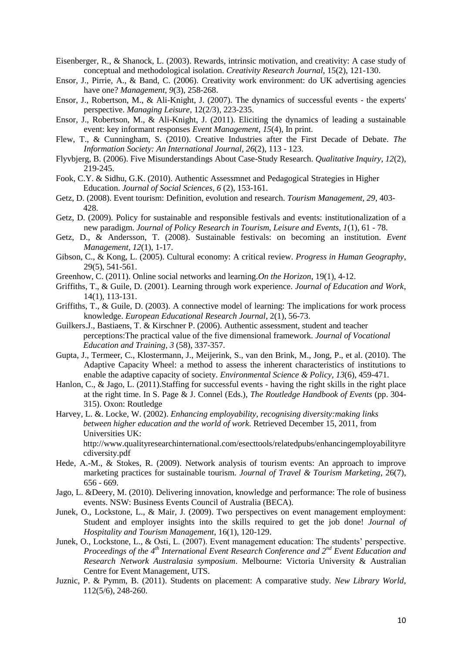- Eisenberger, R., & Shanock, L. (2003). Rewards, intrinsic motivation, and creativity: A case study of conceptual and methodological isolation. *Creativity Research Journal,* 15(2), 121-130.
- Ensor, J., Pirrie, A., & Band, C. (2006). Creativity work environment: do UK advertising agencies have one? *Management, 9*(3), 258-268.
- Ensor, J., Robertson, M., & Ali-Knight, J. (2007). The dynamics of successful events the experts' perspective. *Managing Leisure*, 12(2/3), 223-235.
- Ensor, J., Robertson, M., & Ali-Knight, J. (2011). Eliciting the dynamics of leading a sustainable event: key informant responses *Event Management, 15*(4), In print.
- Flew, T., & Cunningham, S. (2010). Creative Industries after the First Decade of Debate. *The Information Society: An International Journal, 26*(2), 113 - 123.
- Flyvbjerg, B. (2006). Five Misunderstandings About Case-Study Research. *Qualitative Inquiry, 12*(2), 219-245.
- Fook, C.Y. & Sidhu, G.K. (2010). Authentic Assessmnet and Pedagogical Strategies in Higher Education. *Journal of Social Sciences, 6* (2), 153-161.
- Getz, D. (2008). Event tourism: Definition, evolution and research. *Tourism Management, 29*, 403- 428.
- Getz, D. (2009). Policy for sustainable and responsible festivals and events: institutionalization of a new paradigm. *Journal of Policy Research in Tourism, Leisure and Events, 1*(1), 61 - 78.
- Getz, D., & Andersson, T. (2008). Sustainable festivals: on becoming an institution. *Event Management, 12*(1), 1-17.
- Gibson, C., & Kong, L. (2005). Cultural economy: A critical review. *Progress in Human Geography*, 29(5), 541-561.
- Greenhow, C. (2011). Online social networks and learning.*On the Horizon*, 19(1), 4-12.
- Griffiths, T., & Guile, D. (2001). Learning through work experience. *Journal of Education and Work*, 14(1), 113-131.
- Griffiths, T., & Guile, D. (2003). A connective model of learning: The implications for work process knowledge. *European Educational Research Journal*, 2(1), 56-73.
- Guilkers.J., Bastiaens, T. & Kirschner P. (2006). Authentic assessment, student and teacher perceptions:The practical value of the five dimensional framework. *Journal of Vocational Education and Training, 3* (58), 337-357.
- Gupta, J., Termeer, C., Klostermann, J., Meijerink, S., van den Brink, M., Jong, P., et al. (2010). The Adaptive Capacity Wheel: a method to assess the inherent characteristics of institutions to enable the adaptive capacity of society. *Environmental Science & Policy, 13*(6), 459-471.
- Hanlon, C., & Jago, L. (2011). Staffing for successful events having the right skills in the right place at the right time. In S. Page & J. Connel (Eds.), *The Routledge Handbook of Events* (pp. 304- 315). Oxon: Routledge
- Harvey, L. &. Locke, W. (2002). *Enhancing employability, recognising diversity:making links between higher education and the world of work*. Retrieved December 15, 2011, from Universities UK:

http://www.qualityresearchinternational.com/esecttools/relatedpubs/enhancingemployabilityre cdiversity.pdf

- Hede, A.-M., & Stokes, R. (2009). Network analysis of tourism events: An approach to improve marketing practices for sustainable tourism. *Journal of Travel & Tourism Marketing*, 26(7), 656 - 669.
- Jago, L. &Deery, M. (2010). Delivering innovation, knowledge and performance: The role of business events. NSW: Business Events Council of Australia (BECA).
- Junek, O., Lockstone, L., & Mair, J. (2009). Two perspectives on event management employment: Student and employer insights into the skills required to get the job done! *Journal of Hospitality and Tourism Management*, 16(1), 120-129.
- Junek, O., Lockstone, L., & Osti, L. (2007). Event management education: The students' perspective. *Proceedings of the 4th International Event Research Conference and 2nd Event Education and Research Network Australasia symposium*. Melbourne: Victoria University & Australian Centre for Event Management, UTS.
- Juznic, P. & Pymm, B. (2011). Students on placement: A comparative study. *New Library World*, 112(5/6), 248-260.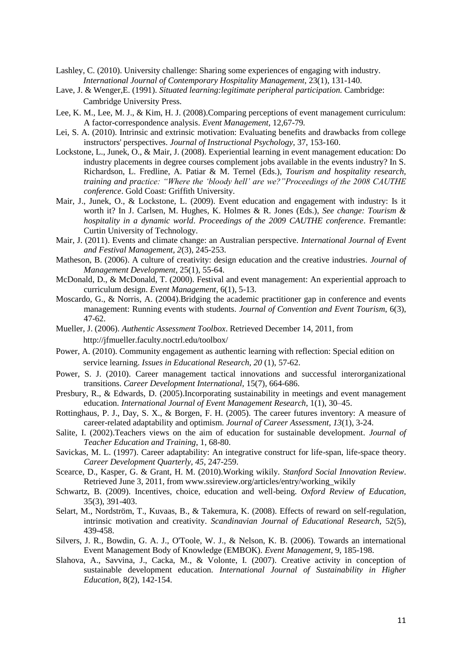- Lashley, C. (2010). University challenge: Sharing some experiences of engaging with industry. *International Journal of Contemporary Hospitality Management*, 23(1), 131-140.
- Lave, J. & Wenger,E. (1991). *Situated learning:legitimate peripheral participation.* Cambridge: Cambridge University Press.
- Lee, K. M., Lee, M. J., & Kim, H. J. (2008).Comparing perceptions of event management curriculum: A factor-correspondence analysis. *Event Management,* 12,67-79*.*
- Lei, S. A. (2010). Intrinsic and extrinsic motivation: Evaluating benefits and drawbacks from college instructors' perspectives. *Journal of Instructional Psychology,* 37, 153-160.
- Lockstone, L., Junek, O., & Mair, J. (2008). Experiential learning in event management education: Do industry placements in degree courses complement jobs available in the events industry? In S. Richardson, L. Fredline, A. Patiar & M. Ternel (Eds.), *Tourism and hospitality research, training and practice: "Where the 'bloody hell' are we?"Proceedings of the 2008 CAUTHE conference*. Gold Coast: Griffith University.
- Mair, J., Junek, O., & Lockstone, L. (2009). Event education and engagement with industry: Is it worth it? In J. Carlsen, M. Hughes, K. Holmes & R. Jones (Eds.), *See change: Tourism & hospitality in a dynamic world*. *Proceedings of the 2009 CAUTHE conference*. Fremantle: Curtin University of Technology.
- Mair, J. (2011). Events and climate change: an Australian perspective. *International Journal of Event and Festival Management, 2*(3), 245-253.
- Matheson, B. (2006). A culture of creativity: design education and the creative industries. *Journal of Management Development*, 25(1), 55-64.
- McDonald, D., & McDonald, T. (2000). Festival and event management: An experiential approach to curriculum design. *Event Management*, 6(1), 5-13.
- Moscardo, G., & Norris, A. (2004).Bridging the academic practitioner gap in conference and events management: Running events with students. *Journal of Convention and Event Tourism*, 6(3), 47-62.
- Mueller, J. (2006). *Authentic Assessment Toolbox*. Retrieved December 14, 2011, from http://jfmueller.faculty.noctrl.edu/toolbox/
- Power, A. (2010). Community engagement as authentic learning with reflection: Special edition on service learning. *Issues in Educational Research, 20* (1), 57-62.
- Power, S. J. (2010). Career management tactical innovations and successful interorganizational transitions. *Career Development International,* 15(7), 664-686.
- Presbury, R., & Edwards, D. (2005).Incorporating sustainability in meetings and event management education. *International Journal of Event Management Research*, 1(1), 30–45.
- Rottinghaus, P. J., Day, S. X., & Borgen, F. H. (2005). The career futures inventory: A measure of career-related adaptability and optimism. *Journal of Career Assessment, 13*(1), 3-24.
- Salite, I. (2002).Teachers views on the aim of education for sustainable development. *Journal of Teacher Education and Training*, 1, 68-80.
- Savickas, M. L. (1997). Career adaptability: An integrative construct for life-span, life-space theory. *Career Development Quarterly, 45*, 247-259.
- Scearce, D., Kasper, G. & Grant, H. M. (2010).Working wikily. *Stanford Social Innovation Review*. Retrieved June 3, 2011, from www.ssireview.org/articles/entry/working\_wikily
- Schwartz, B. (2009). Incentives, choice, education and well-being. *Oxford Review of Education,*  35(3), 391-403.
- Selart, M., Nordström, T., Kuvaas, B., & Takemura, K. (2008). Effects of reward on self-regulation, intrinsic motivation and creativity. *Scandinavian Journal of Educational Research,* 52(5), 439-458.
- Silvers, J. R., Bowdin, G. A. J., O'Toole, W. J., & Nelson, K. B. (2006). Towards an international Event Management Body of Knowledge (EMBOK). *Event Management*, 9, 185-198.
- Slahova, A., Savvina, J., Cacka, M., & Volonte, I. (2007). Creative activity in conception of sustainable development education. *International Journal of Sustainability in Higher Education,* 8(2), 142-154.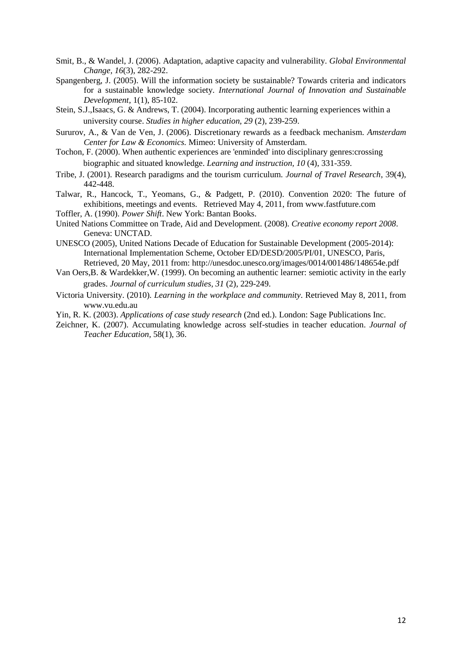- Smit, B., & Wandel, J. (2006). Adaptation, adaptive capacity and vulnerability. *Global Environmental Change, 16*(3), 282-292.
- Spangenberg, J. (2005). Will the information society be sustainable? Towards criteria and indicators for a sustainable knowledge society. *International Journal of Innovation and Sustainable Development,* 1(1), 85-102.
- Stein, S.J.,Isaacs, G. & Andrews, T. (2004). Incorporating authentic learning experiences within a university course. *Studies in higher education, 29* (2), 239-259.
- Sururov, A., & Van de Ven, J. (2006). Discretionary rewards as a feedback mechanism. *Amsterdam Center for Law & Economics.* Mimeo: University of Amsterdam.
- Tochon, F. (2000). When authentic experiences are 'enminded' into disciplinary genres:crossing biographic and situated knowledge. *Learning and instruction, 10* (4), 331-359.
- Tribe, J. (2001). Research paradigms and the tourism curriculum. *Journal of Travel Research*, 39(4), 442-448.
- Talwar, R., Hancock, T., Yeomans, G., & Padgett, P. (2010). Convention 2020: The future of exhibitions, meetings and events. Retrieved May 4, 2011, from www.fastfuture.com
- Toffler, A. (1990). *Power Shift*. New York: Bantan Books.
- United Nations Committee on Trade, Aid and Development. (2008). *Creative economy report 2008*. Geneva: UNCTAD.
- UNESCO (2005), United Nations Decade of Education for Sustainable Development (2005-2014): International Implementation Scheme, October ED/DESD/2005/PI/01, UNESCO, Paris, Retrieved, 20 May, 2011 from: http://unesdoc.unesco.org/images/0014/001486/148654e.pdf
- Van Oers,B. & Wardekker,W. (1999). On becoming an authentic learner: semiotic activity in the early grades. *Journal of curriculum studies, 31* (2), 229-249.
- Victoria University. (2010). *Learning in the workplace and community*. Retrieved May 8, 2011, from www.vu.edu.au
- Yin, R. K. (2003). *Applications of case study research* (2nd ed.). London: Sage Publications Inc.
- Zeichner, K. (2007). Accumulating knowledge across self-studies in teacher education. *Journal of Teacher Education,* 58(1), 36.